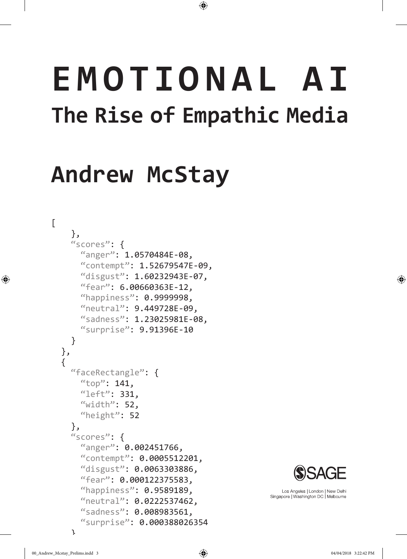# **EMOTIONAL AI The Rise of Empathic Media**

 $\bigoplus$ 

## **Andrew McStay**

```
\overline{[} },
  "scores": {
   "anger" : 1.0570484E-08, "contempt": 1.52679547E-09,
    "disgust": 1.60232943E-07,
   "fear": 6.00660363E-12,
    "happiness": 0.9999998,
    "neutral": 9.449728E-09,
    "sadness": 1.23025981E-08,
    "surprise": 9.91396E-10
  }
},
{
  "faceRectangle": {
   "top": 141,
   "left": 331,``width": 52, "height": 52
  },
  "scores": {
   "anger": 0.002451766,
    "contempt": 0.0005512201,
    "disgust": 0.0063303886,
    "fear": 0.000122375583,
    "happiness": 0.9589189,
    "neutral": 0.0222537462,
    "sadness": 0.008983561,
    "surprise": 0.000388026354
 \mathfrak{L}
```


Los Angeles | London | New Delhi<br>Singapore | Washington DC | Melbourne

⊕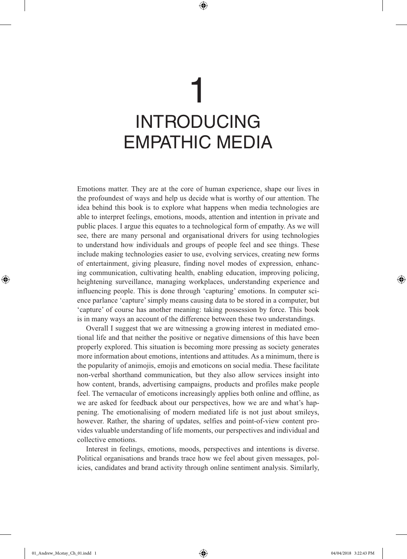## 1 INTRODUCING EMPATHIC MEDIA

 $\textcircled{\scriptsize\textsf{P}}$ 

Emotions matter. They are at the core of human experience, shape our lives in the profoundest of ways and help us decide what is worthy of our attention. The idea behind this book is to explore what happens when media technologies are able to interpret feelings, emotions, moods, attention and intention in private and public places. I argue this equates to a technological form of empathy. As we will see, there are many personal and organisational drivers for using technologies to understand how individuals and groups of people feel and see things. These include making technologies easier to use, evolving services, creating new forms of entertainment, giving pleasure, finding novel modes of expression, enhancing communication, cultivating health, enabling education, improving policing, heightening surveillance, managing workplaces, understanding experience and influencing people. This is done through 'capturing' emotions. In computer science parlance 'capture' simply means causing data to be stored in a computer, but 'capture' of course has another meaning: taking possession by force. This book is in many ways an account of the difference between these two understandings.

Overall I suggest that we are witnessing a growing interest in mediated emotional life and that neither the positive or negative dimensions of this have been properly explored. This situation is becoming more pressing as society generates more information about emotions, intentions and attitudes. As a minimum, there is the popularity of animojis, emojis and emoticons on social media. These facilitate non-verbal shorthand communication, but they also allow services insight into how content, brands, advertising campaigns, products and profiles make people feel. The vernacular of emoticons increasingly applies both online and offline, as we are asked for feedback about our perspectives, how we are and what's happening. The emotionalising of modern mediated life is not just about smileys, however. Rather, the sharing of updates, selfies and point-of-view content provides valuable understanding of life moments, our perspectives and individual and collective emotions.

Interest in feelings, emotions, moods, perspectives and intentions is diverse. Political organisations and brands trace how we feel about given messages, policies, candidates and brand activity through online sentiment analysis. Similarly,

⊕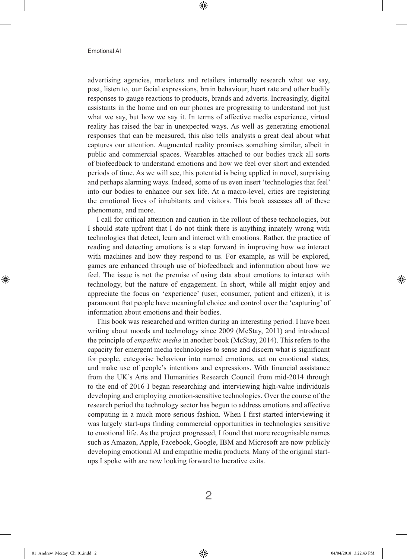advertising agencies, marketers and retailers internally research what we say, post, listen to, our facial expressions, brain behaviour, heart rate and other bodily responses to gauge reactions to products, brands and adverts. Increasingly, digital assistants in the home and on our phones are progressing to understand not just what we say, but how we say it. In terms of affective media experience, virtual reality has raised the bar in unexpected ways. As well as generating emotional responses that can be measured, this also tells analysts a great deal about what captures our attention. Augmented reality promises something similar, albeit in public and commercial spaces. Wearables attached to our bodies track all sorts of biofeedback to understand emotions and how we feel over short and extended periods of time. As we will see, this potential is being applied in novel, surprising and perhaps alarming ways. Indeed, some of us even insert 'technologies that feel' into our bodies to enhance our sex life. At a macro-level, cities are registering the emotional lives of inhabitants and visitors. This book assesses all of these phenomena, and more.

⊕

I call for critical attention and caution in the rollout of these technologies, but I should state upfront that I do not think there is anything innately wrong with technologies that detect, learn and interact with emotions. Rather, the practice of reading and detecting emotions is a step forward in improving how we interact with machines and how they respond to us. For example, as will be explored, games are enhanced through use of biofeedback and information about how we feel. The issue is not the premise of using data about emotions to interact with technology, but the nature of engagement. In short, while all might enjoy and appreciate the focus on 'experience' (user, consumer, patient and citizen), it is paramount that people have meaningful choice and control over the 'capturing' of information about emotions and their bodies.

This book was researched and written during an interesting period. I have been writing about moods and technology since 2009 (McStay, 2011) and introduced the principle of *empathic media* in another book (McStay, 2014). This refers to the capacity for emergent media technologies to sense and discern what is significant for people, categorise behaviour into named emotions, act on emotional states, and make use of people's intentions and expressions. With financial assistance from the UK's Arts and Humanities Research Council from mid-2014 through to the end of 2016 I began researching and interviewing high-value individuals developing and employing emotion-sensitive technologies. Over the course of the research period the technology sector has begun to address emotions and affective computing in a much more serious fashion. When I first started interviewing it was largely start-ups finding commercial opportunities in technologies sensitive to emotional life. As the project progressed, I found that more recognisable names such as Amazon, Apple, Facebook, Google, IBM and Microsoft are now publicly developing emotional AI and empathic media products. Many of the original startups I spoke with are now looking forward to lucrative exits.

♠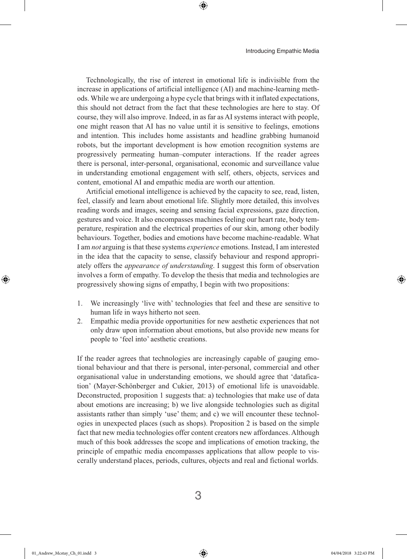Technologically, the rise of interest in emotional life is indivisible from the increase in applications of artificial intelligence (AI) and machine-learning methods. While we are undergoing a hype cycle that brings with it inflated expectations, this should not detract from the fact that these technologies are here to stay. Of course, they will also improve. Indeed, in as far as AI systems interact with people, one might reason that AI has no value until it is sensitive to feelings, emotions and intention. This includes home assistants and headline grabbing humanoid robots, but the important development is how emotion recognition systems are progressively permeating human–computer interactions. If the reader agrees there is personal, inter-personal, organisational, economic and surveillance value in understanding emotional engagement with self, others, objects, services and content, emotional AI and empathic media are worth our attention.

⊕

Artificial emotional intelligence is achieved by the capacity to see, read, listen, feel, classify and learn about emotional life. Slightly more detailed, this involves reading words and images, seeing and sensing facial expressions, gaze direction, gestures and voice. It also encompasses machines feeling our heart rate, body temperature, respiration and the electrical properties of our skin, among other bodily behaviours. Together, bodies and emotions have become machine-readable. What I am *not* arguing is that these systems *experience* emotions. Instead, I am interested in the idea that the capacity to sense, classify behaviour and respond appropriately offers the *appearance of understanding*. I suggest this form of observation involves a form of empathy. To develop the thesis that media and technologies are progressively showing signs of empathy, I begin with two propositions:

- 1. We increasingly 'live with' technologies that feel and these are sensitive to human life in ways hitherto not seen.
- 2. Empathic media provide opportunities for new aesthetic experiences that not only draw upon information about emotions, but also provide new means for people to 'feel into' aesthetic creations.

If the reader agrees that technologies are increasingly capable of gauging emotional behaviour and that there is personal, inter-personal, commercial and other organisational value in understanding emotions, we should agree that 'datafication' (Mayer-Schönberger and Cukier, 2013) of emotional life is unavoidable. Deconstructed, proposition 1 suggests that: a) technologies that make use of data about emotions are increasing; b) we live alongside technologies such as digital assistants rather than simply 'use' them; and c) we will encounter these technologies in unexpected places (such as shops). Proposition 2 is based on the simple fact that new media technologies offer content creators new affordances. Although much of this book addresses the scope and implications of emotion tracking, the principle of empathic media encompasses applications that allow people to viscerally understand places, periods, cultures, objects and real and fictional worlds.

♠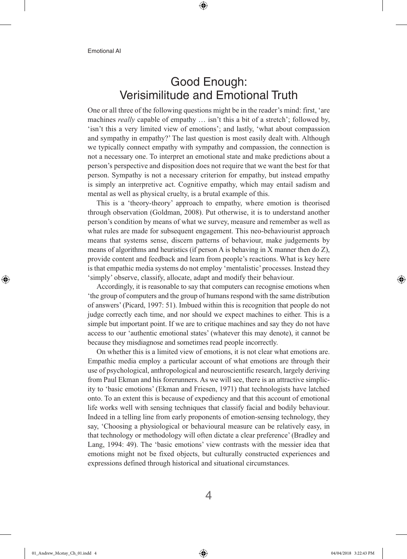## Good Enough: Verisimilitude and Emotional Truth

⊕

One or all three of the following questions might be in the reader's mind: first, 'are machines *really* capable of empathy ... isn't this a bit of a stretch'; followed by, 'isn't this a very limited view of emotions'; and lastly, 'what about compassion and sympathy in empathy?' The last question is most easily dealt with. Although we typically connect empathy with sympathy and compassion, the connection is not a necessary one. To interpret an emotional state and make predictions about a person's perspective and disposition does not require that we want the best for that person. Sympathy is not a necessary criterion for empathy, but instead empathy is simply an interpretive act. Cognitive empathy, which may entail sadism and mental as well as physical cruelty, is a brutal example of this.

This is a 'theory-theory' approach to empathy, where emotion is theorised through observation (Goldman, 2008). Put otherwise, it is to understand another person's condition by means of what we survey, measure and remember as well as what rules are made for subsequent engagement. This neo-behaviourist approach means that systems sense, discern patterns of behaviour, make judgements by means of algorithms and heuristics (if person A is behaving in X manner then do Z), provide content and feedback and learn from people's reactions. What is key here is that empathic media systems do not employ 'mentalistic' processes. Instead they 'simply' observe, classify, allocate, adapt and modify their behaviour.

Accordingly, it is reasonable to say that computers can recognise emotions when 'the group of computers and the group of humans respond with the same distribution of answers' (Picard, 1997: 51). Imbued within this is recognition that people do not judge correctly each time, and nor should we expect machines to either. This is a simple but important point. If we are to critique machines and say they do not have access to our 'authentic emotional states' (whatever this may denote), it cannot be because they misdiagnose and sometimes read people incorrectly.

On whether this is a limited view of emotions, it is not clear what emotions are. Empathic media employ a particular account of what emotions are through their use of psychological, anthropological and neuroscientific research, largely deriving from Paul Ekman and his forerunners. As we will see, there is an attractive simplicity to 'basic emotions' (Ekman and Friesen, 1971) that technologists have latched onto. To an extent this is because of expediency and that this account of emotional life works well with sensing techniques that classify facial and bodily behaviour. Indeed in a telling line from early proponents of emotion-sensing technology, they say, 'Choosing a physiological or behavioural measure can be relatively easy, in that technology or methodology will often dictate a clear preference' (Bradley and Lang, 1994: 49). The 'basic emotions' view contrasts with the messier idea that emotions might not be fixed objects, but culturally constructed experiences and expressions defined through historical and situational circumstances.

♠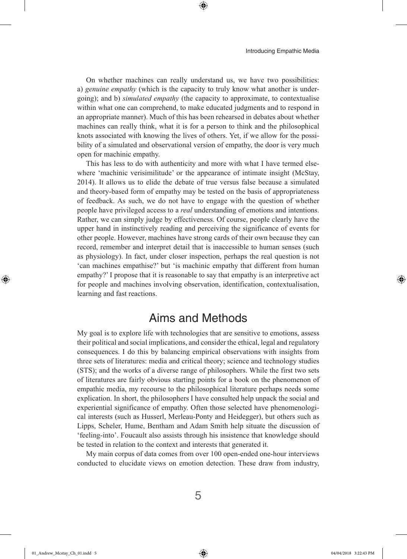On whether machines can really understand us, we have two possibilities: a) *genuine empathy* (which is the capacity to truly know what another is undergoing); and b) *simulated empathy* (the capacity to approximate, to contextualise within what one can comprehend, to make educated judgments and to respond in an appropriate manner). Much of this has been rehearsed in debates about whether machines can really think, what it is for a person to think and the philosophical knots associated with knowing the lives of others. Yet, if we allow for the possibility of a simulated and observational version of empathy, the door is very much open for machinic empathy.

⊕

This has less to do with authenticity and more with what I have termed elsewhere 'machinic verisimilitude' or the appearance of intimate insight (McStay, 2014). It allows us to elide the debate of true versus false because a simulated and theory-based form of empathy may be tested on the basis of appropriateness of feedback. As such, we do not have to engage with the question of whether people have privileged access to a *real* understanding of emotions and intentions. Rather, we can simply judge by effectiveness. Of course, people clearly have the upper hand in instinctively reading and perceiving the significance of events for other people. However, machines have strong cards of their own because they can record, remember and interpret detail that is inaccessible to human senses (such as physiology). In fact, under closer inspection, perhaps the real question is not 'can machines empathise?' but 'is machinic empathy that different from human empathy?' I propose that it is reasonable to say that empathy is an interpretive act for people and machines involving observation, identification, contextualisation, learning and fast reactions.

## Aims and Methods

My goal is to explore life with technologies that are sensitive to emotions, assess their political and social implications, and consider the ethical, legal and regulatory consequences. I do this by balancing empirical observations with insights from three sets of literatures: media and critical theory; science and technology studies (STS); and the works of a diverse range of philosophers. While the first two sets of literatures are fairly obvious starting points for a book on the phenomenon of empathic media, my recourse to the philosophical literature perhaps needs some explication. In short, the philosophers I have consulted help unpack the social and experiential significance of empathy. Often those selected have phenomenological interests (such as Husserl, Merleau-Ponty and Heidegger), but others such as Lipps, Scheler, Hume, Bentham and Adam Smith help situate the discussion of 'feeling-into'. Foucault also assists through his insistence that knowledge should be tested in relation to the context and interests that generated it.

My main corpus of data comes from over 100 open-ended one-hour interviews conducted to elucidate views on emotion detection. These draw from industry,

♠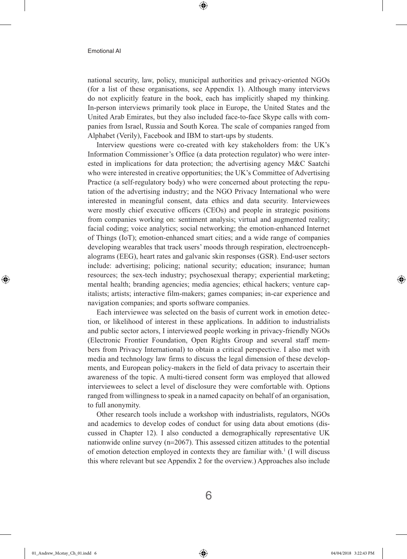#### Emotional AI

national security, law, policy, municipal authorities and privacy-oriented NGOs (for a list of these organisations, see Appendix 1). Although many interviews do not explicitly feature in the book, each has implicitly shaped my thinking. In-person interviews primarily took place in Europe, the United States and the United Arab Emirates, but they also included face-to-face Skype calls with companies from Israel, Russia and South Korea. The scale of companies ranged from Alphabet (Verily), Facebook and IBM to start-ups by students.

⊕

Interview questions were co-created with key stakeholders from: the UK's Information Commissioner's Office (a data protection regulator) who were interested in implications for data protection; the advertising agency M&C Saatchi who were interested in creative opportunities; the UK's Committee of Advertising Practice (a self-regulatory body) who were concerned about protecting the reputation of the advertising industry; and the NGO Privacy International who were interested in meaningful consent, data ethics and data security. Interviewees were mostly chief executive officers (CEOs) and people in strategic positions from companies working on: sentiment analysis; virtual and augmented reality; facial coding; voice analytics; social networking; the emotion-enhanced Internet of Things (IoT); emotion-enhanced smart cities; and a wide range of companies developing wearables that track users' moods through respiration, electroencephalograms (EEG), heart rates and galvanic skin responses (GSR). End-user sectors include: advertising; policing; national security; education; insurance; human resources; the sex-tech industry; psychosexual therapy; experiential marketing; mental health; branding agencies; media agencies; ethical hackers; venture capitalists; artists; interactive film-makers; games companies; in-car experience and navigation companies; and sports software companies.

Each interviewee was selected on the basis of current work in emotion detection, or likelihood of interest in these applications. In addition to industrialists and public sector actors, I interviewed people working in privacy-friendly NGOs (Electronic Frontier Foundation, Open Rights Group and several staff members from Privacy International) to obtain a critical perspective. I also met with media and technology law firms to discuss the legal dimension of these developments, and European policy-makers in the field of data privacy to ascertain their awareness of the topic. A multi-tiered consent form was employed that allowed interviewees to select a level of disclosure they were comfortable with. Options ranged from willingness to speak in a named capacity on behalf of an organisation, to full anonymity.

Other research tools include a workshop with industrialists, regulators, NGOs and academics to develop codes of conduct for using data about emotions (discussed in Chapter 12). I also conducted a demographically representative UK nationwide online survey (n=2067). This assessed citizen attitudes to the potential of emotion detection employed in contexts they are familiar with.<sup>1</sup> (I will discuss this where relevant but see Appendix 2 for the overview.) Approaches also include

⊕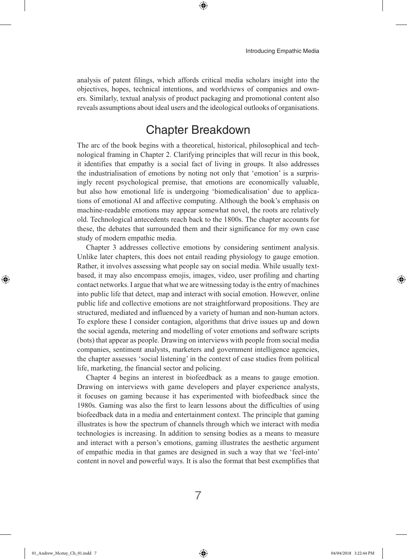analysis of patent filings, which affords critical media scholars insight into the objectives, hopes, technical intentions, and worldviews of companies and owners. Similarly, textual analysis of product packaging and promotional content also reveals assumptions about ideal users and the ideological outlooks of organisations.

⊕

## Chapter Breakdown

The arc of the book begins with a theoretical, historical, philosophical and technological framing in Chapter 2. Clarifying principles that will recur in this book, it identifies that empathy is a social fact of living in groups. It also addresses the industrialisation of emotions by noting not only that 'emotion' is a surprisingly recent psychological premise, that emotions are economically valuable, but also how emotional life is undergoing 'biomedicalisation' due to applications of emotional AI and affective computing. Although the book's emphasis on machine-readable emotions may appear somewhat novel, the roots are relatively old. Technological antecedents reach back to the 1800s. The chapter accounts for these, the debates that surrounded them and their significance for my own case study of modern empathic media.

Chapter 3 addresses collective emotions by considering sentiment analysis. Unlike later chapters, this does not entail reading physiology to gauge emotion. Rather, it involves assessing what people say on social media. While usually textbased, it may also encompass emojis, images, video, user profiling and charting contact networks. I argue that what we are witnessing today is the entry of machines into public life that detect, map and interact with social emotion. However, online public life and collective emotions are not straightforward propositions. They are structured, mediated and influenced by a variety of human and non-human actors. To explore these I consider contagion, algorithms that drive issues up and down the social agenda, metering and modelling of voter emotions and software scripts (bots) that appear as people. Drawing on interviews with people from social media companies, sentiment analysts, marketers and government intelligence agencies, the chapter assesses 'social listening' in the context of case studies from political life, marketing, the financial sector and policing.

Chapter 4 begins an interest in biofeedback as a means to gauge emotion. Drawing on interviews with game developers and player experience analysts, it focuses on gaming because it has experimented with biofeedback since the 1980s. Gaming was also the first to learn lessons about the difficulties of using biofeedback data in a media and entertainment context. The principle that gaming illustrates is how the spectrum of channels through which we interact with media technologies is increasing. In addition to sensing bodies as a means to measure and interact with a person's emotions, gaming illustrates the aesthetic argument of empathic media in that games are designed in such a way that we 'feel-into' content in novel and powerful ways. It is also the format that best exemplifies that

⊕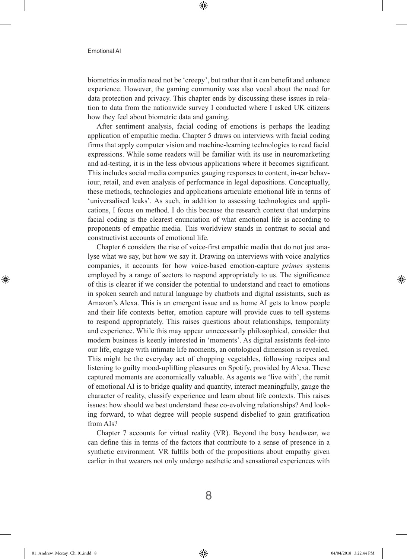#### Emotional AI

biometrics in media need not be 'creepy', but rather that it can benefit and enhance experience. However, the gaming community was also vocal about the need for data protection and privacy. This chapter ends by discussing these issues in relation to data from the nationwide survey I conducted where I asked UK citizens how they feel about biometric data and gaming.

⊕

After sentiment analysis, facial coding of emotions is perhaps the leading application of empathic media. Chapter 5 draws on interviews with facial coding firms that apply computer vision and machine-learning technologies to read facial expressions. While some readers will be familiar with its use in neuromarketing and ad-testing, it is in the less obvious applications where it becomes significant. This includes social media companies gauging responses to content, in-car behaviour, retail, and even analysis of performance in legal depositions. Conceptually, these methods, technologies and applications articulate emotional life in terms of 'universalised leaks'. As such, in addition to assessing technologies and applications, I focus on method. I do this because the research context that underpins facial coding is the clearest enunciation of what emotional life is according to proponents of empathic media. This worldview stands in contrast to social and constructivist accounts of emotional life.

Chapter 6 considers the rise of voice-first empathic media that do not just analyse what we say, but how we say it. Drawing on interviews with voice analytics companies, it accounts for how voice-based emotion-capture *primes* systems employed by a range of sectors to respond appropriately to us. The significance of this is clearer if we consider the potential to understand and react to emotions in spoken search and natural language by chatbots and digital assistants, such as Amazon's Alexa. This is an emergent issue and as home AI gets to know people and their life contexts better, emotion capture will provide cues to tell systems to respond appropriately. This raises questions about relationships, temporality and experience. While this may appear unnecessarily philosophical, consider that modern business is keenly interested in 'moments'. As digital assistants feel-into our life, engage with intimate life moments, an ontological dimension is revealed. This might be the everyday act of chopping vegetables, following recipes and listening to guilty mood-uplifting pleasures on Spotify, provided by Alexa. These captured moments are economically valuable. As agents we 'live with', the remit of emotional AI is to bridge quality and quantity, interact meaningfully, gauge the character of reality, classify experience and learn about life contexts. This raises issues: how should we best understand these co-evolving relationships? And looking forward, to what degree will people suspend disbelief to gain gratification from AIs?

Chapter 7 accounts for virtual reality (VR). Beyond the boxy headwear, we can define this in terms of the factors that contribute to a sense of presence in a synthetic environment. VR fulfils both of the propositions about empathy given earlier in that wearers not only undergo aesthetic and sensational experiences with

8

♠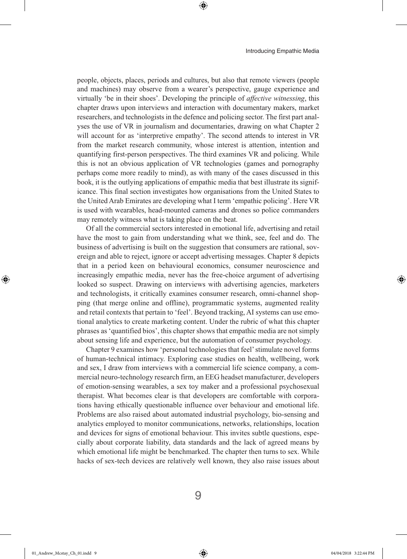people, objects, places, periods and cultures, but also that remote viewers (people and machines) may observe from a wearer's perspective, gauge experience and virtually 'be in their shoes'. Developing the principle of *affective witnessing*, this chapter draws upon interviews and interaction with documentary makers, market researchers, and technologists in the defence and policing sector. The first part analyses the use of VR in journalism and documentaries, drawing on what Chapter 2 will account for as 'interpretive empathy'. The second attends to interest in VR from the market research community, whose interest is attention, intention and quantifying first-person perspectives. The third examines VR and policing. While this is not an obvious application of VR technologies (games and pornography perhaps come more readily to mind), as with many of the cases discussed in this book, it is the outlying applications of empathic media that best illustrate its significance. This final section investigates how organisations from the United States to the United Arab Emirates are developing what I term 'empathic policing'. Here VR is used with wearables, head-mounted cameras and drones so police commanders may remotely witness what is taking place on the beat.

⊕

Of all the commercial sectors interested in emotional life, advertising and retail have the most to gain from understanding what we think, see, feel and do. The business of advertising is built on the suggestion that consumers are rational, sovereign and able to reject, ignore or accept advertising messages. Chapter 8 depicts that in a period keen on behavioural economics, consumer neuroscience and increasingly empathic media, never has the free-choice argument of advertising looked so suspect. Drawing on interviews with advertising agencies, marketers and technologists, it critically examines consumer research, omni-channel shopping (that merge online and offline), programmatic systems, augmented reality and retail contexts that pertain to 'feel'. Beyond tracking, AI systems can use emotional analytics to create marketing content. Under the rubric of what this chapter phrases as 'quantified bios', this chapter shows that empathic media are not simply about sensing life and experience, but the automation of consumer psychology.

Chapter 9 examines how 'personal technologies that feel' stimulate novel forms of human-technical intimacy. Exploring case studies on health, wellbeing, work and sex, I draw from interviews with a commercial life science company, a commercial neuro-technology research firm, an EEG headset manufacturer, developers of emotion-sensing wearables, a sex toy maker and a professional psychosexual therapist. What becomes clear is that developers are comfortable with corporations having ethically questionable influence over behaviour and emotional life. Problems are also raised about automated industrial psychology, bio-sensing and analytics employed to monitor communications, networks, relationships, location and devices for signs of emotional behaviour. This invites subtle questions, especially about corporate liability, data standards and the lack of agreed means by which emotional life might be benchmarked. The chapter then turns to sex. While hacks of sex-tech devices are relatively well known, they also raise issues about

9

♠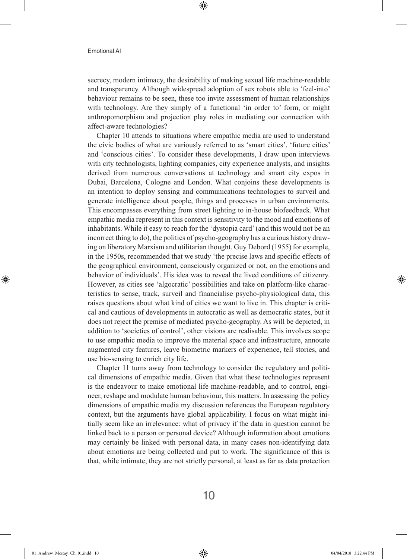#### Emotional AI

secrecy, modern intimacy, the desirability of making sexual life machine-readable and transparency. Although widespread adoption of sex robots able to 'feel-into' behaviour remains to be seen, these too invite assessment of human relationships with technology. Are they simply of a functional 'in order to' form, or might anthropomorphism and projection play roles in mediating our connection with affect-aware technologies?

⊕

Chapter 10 attends to situations where empathic media are used to understand the civic bodies of what are variously referred to as 'smart cities', 'future cities' and 'conscious cities'. To consider these developments, I draw upon interviews with city technologists, lighting companies, city experience analysts, and insights derived from numerous conversations at technology and smart city expos in Dubai, Barcelona, Cologne and London. What conjoins these developments is an intention to deploy sensing and communications technologies to surveil and generate intelligence about people, things and processes in urban environments. This encompasses everything from street lighting to in-house biofeedback. What empathic media represent in this context is sensitivity to the mood and emotions of inhabitants. While it easy to reach for the 'dystopia card' (and this would not be an incorrect thing to do), the politics of psycho-geography has a curious history drawing on liberatory Marxism and utilitarian thought. Guy Debord (1955) for example, in the 1950s, recommended that we study 'the precise laws and specific effects of the geographical environment, consciously organized or not, on the emotions and behavior of individuals'. His idea was to reveal the lived conditions of citizenry. However, as cities see 'algocratic' possibilities and take on platform-like characteristics to sense, track, surveil and financialise psycho-physiological data, this raises questions about what kind of cities we want to live in. This chapter is critical and cautious of developments in autocratic as well as democratic states, but it does not reject the premise of mediated psycho-geography. As will be depicted, in addition to 'societies of control', other visions are realisable. This involves scope to use empathic media to improve the material space and infrastructure, annotate augmented city features, leave biometric markers of experience, tell stories, and use bio-sensing to enrich city life.

Chapter 11 turns away from technology to consider the regulatory and political dimensions of empathic media. Given that what these technologies represent is the endeavour to make emotional life machine-readable, and to control, engineer, reshape and modulate human behaviour, this matters. In assessing the policy dimensions of empathic media my discussion references the European regulatory context, but the arguments have global applicability. I focus on what might initially seem like an irrelevance: what of privacy if the data in question cannot be linked back to a person or personal device? Although information about emotions may certainly be linked with personal data, in many cases non-identifying data about emotions are being collected and put to work. The significance of this is that, while intimate, they are not strictly personal, at least as far as data protection

♠